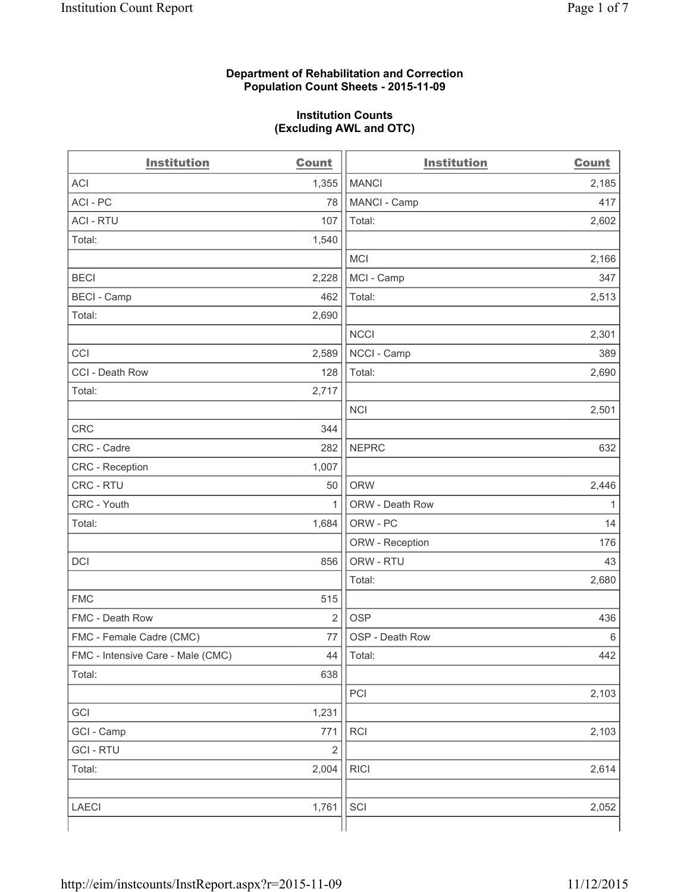#### **Department of Rehabilitation and Correction Population Count Sheets - 2015-11-09**

#### **Institution Counts (Excluding AWL and OTC)**

| <b>Institution</b>                | Count          | <b>Institution</b> | <b>Count</b> |
|-----------------------------------|----------------|--------------------|--------------|
| <b>ACI</b>                        | 1,355          | <b>MANCI</b>       | 2,185        |
| ACI-PC                            | 78             | MANCI - Camp       | 417          |
| <b>ACI - RTU</b>                  | 107            | Total:             | 2,602        |
| Total:                            | 1,540          |                    |              |
|                                   |                | <b>MCI</b>         | 2,166        |
| <b>BECI</b>                       | 2,228          | MCI - Camp         | 347          |
| <b>BECI</b> - Camp                | 462            | Total:             | 2,513        |
| Total:                            | 2,690          |                    |              |
|                                   |                | <b>NCCI</b>        | 2,301        |
| CCI                               | 2,589          | NCCI - Camp        | 389          |
| CCI - Death Row                   | 128            | Total:             | 2,690        |
| Total:                            | 2,717          |                    |              |
|                                   |                | <b>NCI</b>         | 2,501        |
| CRC                               | 344            |                    |              |
| CRC - Cadre                       | 282            | <b>NEPRC</b>       | 632          |
| CRC - Reception                   | 1,007          |                    |              |
| CRC - RTU                         | 50             | <b>ORW</b>         | 2,446        |
| CRC - Youth                       | $\mathbf{1}$   | ORW - Death Row    | 1            |
| Total:                            | 1,684          | ORW - PC           | 14           |
|                                   |                | ORW - Reception    | 176          |
| DCI                               | 856            | ORW - RTU          | 43           |
|                                   |                | Total:             | 2,680        |
| <b>FMC</b>                        | 515            |                    |              |
| FMC - Death Row                   | $\overline{2}$ | <b>OSP</b>         | 436          |
| FMC - Female Cadre (CMC)          | 77             | OSP - Death Row    | 6            |
| FMC - Intensive Care - Male (CMC) | 44             | Total:             | 442          |
| Total:                            | 638            |                    |              |
|                                   |                | PCI                | 2,103        |
| GCI                               | 1,231          |                    |              |
| GCI - Camp                        | 771            | RCI                | 2,103        |
| <b>GCI-RTU</b>                    | $\mathbf 2$    |                    |              |
| Total:                            | 2,004          | <b>RICI</b>        | 2,614        |
|                                   |                |                    |              |
| LAECI                             | 1,761          | SCI                | 2,052        |
|                                   |                |                    |              |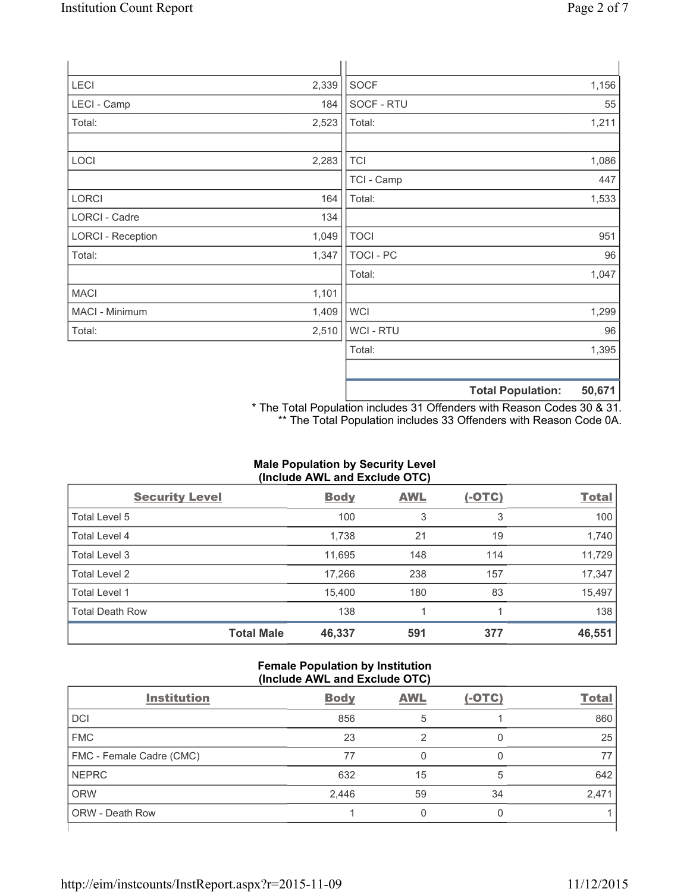| <b>LECI</b>              | 2,339 | SOCF             |                          | 1,156  |
|--------------------------|-------|------------------|--------------------------|--------|
| LECI - Camp              | 184   | SOCF - RTU       |                          | 55     |
| Total:                   | 2,523 | Total:           |                          | 1,211  |
| LOCI                     | 2,283 | <b>TCI</b>       |                          | 1,086  |
|                          |       | TCI - Camp       |                          | 447    |
| <b>LORCI</b>             | 164   | Total:           |                          | 1,533  |
| LORCI - Cadre            | 134   |                  |                          |        |
| <b>LORCI - Reception</b> | 1,049 | <b>TOCI</b>      |                          | 951    |
| Total:                   | 1,347 | <b>TOCI - PC</b> |                          | 96     |
|                          |       | Total:           |                          | 1,047  |
| <b>MACI</b>              | 1,101 |                  |                          |        |
| MACI - Minimum           | 1,409 | <b>WCI</b>       |                          | 1,299  |
| Total:                   | 2,510 | <b>WCI-RTU</b>   |                          | 96     |
|                          |       | Total:           |                          | 1,395  |
|                          |       |                  | <b>Total Population:</b> | 50,671 |

\* The Total Population includes 31 Offenders with Reason Codes 30 & 31. \*\* The Total Population includes 33 Offenders with Reason Code 0A.

# **Male Population by Security Level (Include AWL and Exclude OTC)**

| <b>Security Level</b>  |                   | <b>Body</b> | <b>AWL</b> | $(-OTC)$ | <b>Total</b> |
|------------------------|-------------------|-------------|------------|----------|--------------|
| Total Level 5          |                   | 100         | 3          | 3        | 100          |
| Total Level 4          |                   | 1,738       | 21         | 19       | 1,740        |
| Total Level 3          |                   | 11,695      | 148        | 114      | 11,729       |
| Total Level 2          |                   | 17,266      | 238        | 157      | 17,347       |
| Total Level 1          |                   | 15,400      | 180        | 83       | 15,497       |
| <b>Total Death Row</b> |                   | 138         | 1          |          | 138          |
|                        | <b>Total Male</b> | 46,337      | 591        | 377      | 46,551       |

## **Female Population by Institution (Include AWL and Exclude OTC)**

| <b>Institution</b>       | <b>Body</b> | <b>AWL</b> | $(-OTC)$ | <b>Total</b> |
|--------------------------|-------------|------------|----------|--------------|
| <b>DCI</b>               | 856         | 5          |          | 860          |
| <b>FMC</b>               | 23          | っ          |          | 25           |
| FMC - Female Cadre (CMC) | 77          | 0          |          | 77           |
| <b>NEPRC</b>             | 632         | 15         | 5        | 642          |
| <b>ORW</b>               | 2,446       | 59         | 34       | 2,471        |
| <b>ORW - Death Row</b>   |             | 0          | Ω        |              |
|                          |             |            |          |              |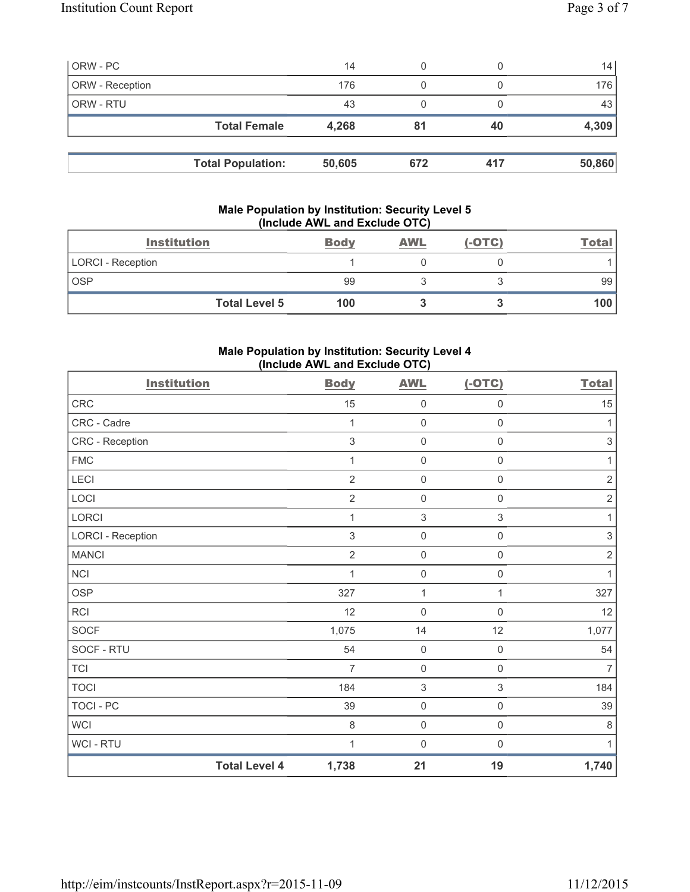| ORW - PC        |                          | 14     | 0   |     | 14     |
|-----------------|--------------------------|--------|-----|-----|--------|
| ORW - Reception |                          | 176    | 0   |     | 176    |
| ORW - RTU       |                          | 43     | 0   |     | 43     |
|                 | <b>Total Female</b>      | 4,268  | 81  | 40  | 4,309  |
|                 |                          |        |     |     |        |
|                 | <b>Total Population:</b> | 50,605 | 672 | 417 | 50,860 |

## **Male Population by Institution: Security Level 5 (Include AWL and Exclude OTC)**

| <b>Institution</b>       | <b>Body</b> | <b>AWL</b> | $(-OTC)$ | <b>Total</b> |
|--------------------------|-------------|------------|----------|--------------|
| <b>LORCI - Reception</b> |             |            |          |              |
| <b>OSP</b>               | 99          |            |          | 99           |
| <b>Total Level 5</b>     | 100         |            |          | 100 l        |

## **Male Population by Institution: Security Level 4 (Include AWL and Exclude OTC)**

| <b>Institution</b>       |                      | <b>Body</b>    | <b>AWL</b>                | $(-OTC)$            | <b>Total</b>              |
|--------------------------|----------------------|----------------|---------------------------|---------------------|---------------------------|
| CRC                      |                      | 15             | $\mathsf{O}\xspace$       | $\mathsf{O}\xspace$ | 15                        |
| CRC - Cadre              |                      | 1              | $\mathsf{O}\xspace$       | $\mathsf{O}\xspace$ | 1                         |
| CRC - Reception          |                      | 3              | $\mathsf{O}\xspace$       | $\mathsf{O}\xspace$ | $\ensuremath{\mathsf{3}}$ |
| <b>FMC</b>               |                      | 1              | $\mathsf{O}\xspace$       | $\mathsf{O}\xspace$ | 1                         |
| LECI                     |                      | $\overline{2}$ | $\mathsf{O}\xspace$       | $\mathsf{O}\xspace$ | $\sqrt{2}$                |
| LOCI                     |                      | $\overline{2}$ | $\mathsf{O}\xspace$       | $\mathsf{O}\xspace$ | $\sqrt{2}$                |
| LORCI                    |                      | 1              | $\ensuremath{\mathsf{3}}$ | $\mathfrak{S}$      | $\mathbf{1}$              |
| <b>LORCI - Reception</b> |                      | 3              | $\mathsf{O}\xspace$       | $\mathsf{O}\xspace$ | $\sqrt{3}$                |
| <b>MANCI</b>             |                      | $\overline{2}$ | $\mathsf{O}\xspace$       | $\mathsf 0$         | $\sqrt{2}$                |
| $\sf NCI$                |                      | 1              | $\mathsf{O}\xspace$       | $\mathsf{O}\xspace$ | 1                         |
| <b>OSP</b>               |                      | 327            | $\mathbf{1}$              | $\mathbf{1}$        | 327                       |
| <b>RCI</b>               |                      | 12             | $\mathsf{O}\xspace$       | $\mathsf 0$         | 12                        |
| SOCF                     |                      | 1,075          | 14                        | 12                  | 1,077                     |
| SOCF - RTU               |                      | 54             | $\mathbf 0$               | $\mathsf{O}\xspace$ | 54                        |
| <b>TCI</b>               |                      | $\overline{7}$ | $\mathsf{O}\xspace$       | $\mathsf{O}\xspace$ | $\overline{7}$            |
| <b>TOCI</b>              |                      | 184            | $\ensuremath{\mathsf{3}}$ | $\,$ 3 $\,$         | 184                       |
| <b>TOCI - PC</b>         |                      | 39             | $\mathsf{O}\xspace$       | $\mathsf 0$         | 39                        |
| <b>WCI</b>               |                      | $\,8\,$        | $\mathsf{O}\xspace$       | $\mathsf{O}\xspace$ | $\,8\,$                   |
| WCI - RTU                |                      | 1              | $\mathbf 0$               | $\boldsymbol{0}$    | 1                         |
|                          | <b>Total Level 4</b> | 1,738          | 21                        | 19                  | 1,740                     |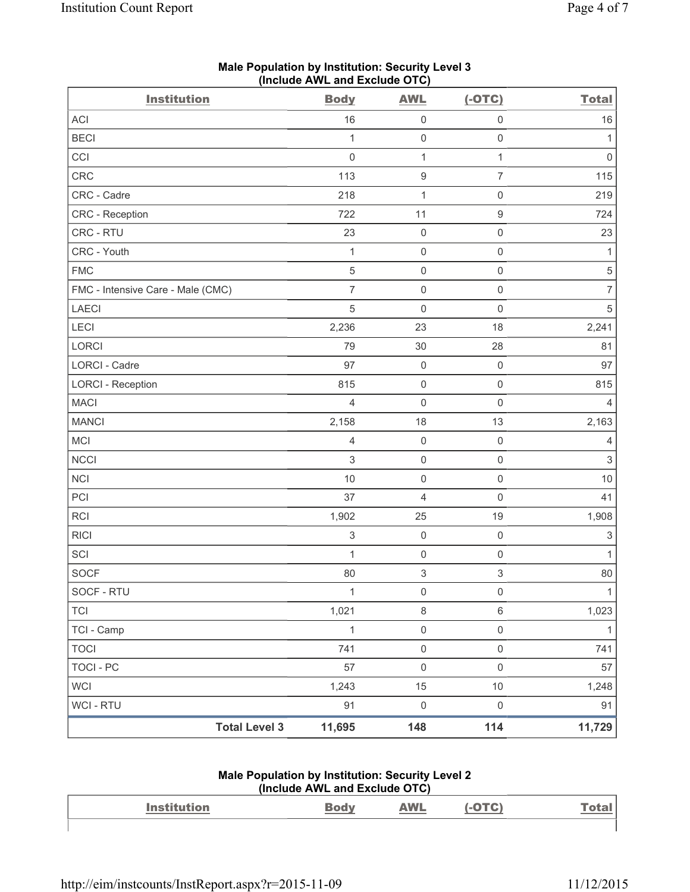| <b>Institution</b>                | $($ moludo Arra and Exclude OTO $)$<br><b>Body</b> | <b>AWL</b>          | $(-OTC)$            | <b>Total</b>              |
|-----------------------------------|----------------------------------------------------|---------------------|---------------------|---------------------------|
| ACI                               | 16                                                 | $\mathsf{O}\xspace$ | $\mathsf 0$         | 16                        |
| <b>BECI</b>                       | 1                                                  | $\mathbf 0$         | $\mathsf 0$         | $\mathbf{1}$              |
| CCI                               | $\mathsf{O}\xspace$                                | $\mathbf 1$         | $\mathbf{1}$        | $\mathsf{O}\xspace$       |
| CRC                               | 113                                                | $\boldsymbol{9}$    | $\overline{7}$      | 115                       |
| CRC - Cadre                       | 218                                                | 1                   | $\mathsf{O}\xspace$ | 219                       |
| CRC - Reception                   | 722                                                | 11                  | $\hbox{9}$          | 724                       |
| CRC - RTU                         | 23                                                 | $\mathsf{O}\xspace$ | $\mathsf 0$         | 23                        |
| CRC - Youth                       | $\mathbf{1}$                                       | $\mathbf 0$         | $\mathsf{O}\xspace$ | $\mathbf{1}$              |
| <b>FMC</b>                        | $\sqrt{5}$                                         | $\mathsf{O}\xspace$ | $\mathsf 0$         | $\,$ 5 $\,$               |
| FMC - Intensive Care - Male (CMC) | $\overline{7}$                                     | $\mathbf 0$         | $\mathbf 0$         | $\overline{7}$            |
| <b>LAECI</b>                      | $\sqrt{5}$                                         | $\mathbf 0$         | $\mathsf 0$         | $\sqrt{5}$                |
| LECI                              | 2,236                                              | 23                  | 18                  | 2,241                     |
| <b>LORCI</b>                      | 79                                                 | 30                  | 28                  | 81                        |
| LORCI - Cadre                     | 97                                                 | $\mathbf 0$         | $\mathsf 0$         | 97                        |
| <b>LORCI - Reception</b>          | 815                                                | $\mathbf 0$         | $\mathsf 0$         | 815                       |
| <b>MACI</b>                       | $\overline{4}$                                     | $\mathsf{O}\xspace$ | $\mathsf 0$         | $\overline{4}$            |
| <b>MANCI</b>                      | 2,158                                              | 18                  | 13                  | 2,163                     |
| MCI                               | $\overline{4}$                                     | $\mathsf{O}\xspace$ | $\mathsf 0$         | $\overline{4}$            |
| <b>NCCI</b>                       | $\sqrt{3}$                                         | $\mathsf{O}\xspace$ | $\mathsf 0$         | $\sqrt{3}$                |
| <b>NCI</b>                        | $10$                                               | $\mathbf 0$         | $\mathbf 0$         | $10$                      |
| PCI                               | 37                                                 | 4                   | $\mathsf 0$         | 41                        |
| RCI                               | 1,902                                              | 25                  | 19                  | 1,908                     |
| <b>RICI</b>                       | $\ensuremath{\mathsf{3}}$                          | $\mathsf{O}\xspace$ | $\mathsf 0$         | $\ensuremath{\mathsf{3}}$ |
| SCI                               | $\mathbf{1}$                                       | $\mathsf{O}\xspace$ | $\mathsf 0$         | $\mathbf{1}$              |
| <b>SOCF</b>                       | 80                                                 | 3                   | $\sqrt{3}$          | $80\,$                    |
| SOCF - RTU                        | $\mathbf{1}$                                       | $\mathsf{O}\xspace$ | $\mathsf{O}\xspace$ | $\mathbf{1}$              |
| <b>TCI</b>                        | 1,021                                              | 8                   | $\,6\,$             | 1,023                     |
| TCI - Camp                        | $\mathbf{1}$                                       | $\mathsf{O}\xspace$ | $\mathsf 0$         | $\mathbf{1}$              |
| <b>TOCI</b>                       | 741                                                | $\mathsf{O}\xspace$ | $\mathsf{O}\xspace$ | 741                       |
| <b>TOCI - PC</b>                  | 57                                                 | $\mathsf{O}\xspace$ | $\mathsf{O}\xspace$ | 57                        |
| <b>WCI</b>                        | 1,243                                              | 15                  | $10$                | 1,248                     |
| WCI - RTU                         | 91                                                 | $\mathbf 0$         | $\mathsf 0$         | 91                        |
| <b>Total Level 3</b>              | 11,695                                             | 148                 | 114                 | 11,729                    |

#### **Male Population by Institution: Security Level 3 (Include AWL and Exclude OTC)**

#### **Male Population by Institution: Security Level 2 (Include AWL and Exclude OTC)**

| <b>Institution</b> | <b>AWL</b> |  |
|--------------------|------------|--|
|                    |            |  |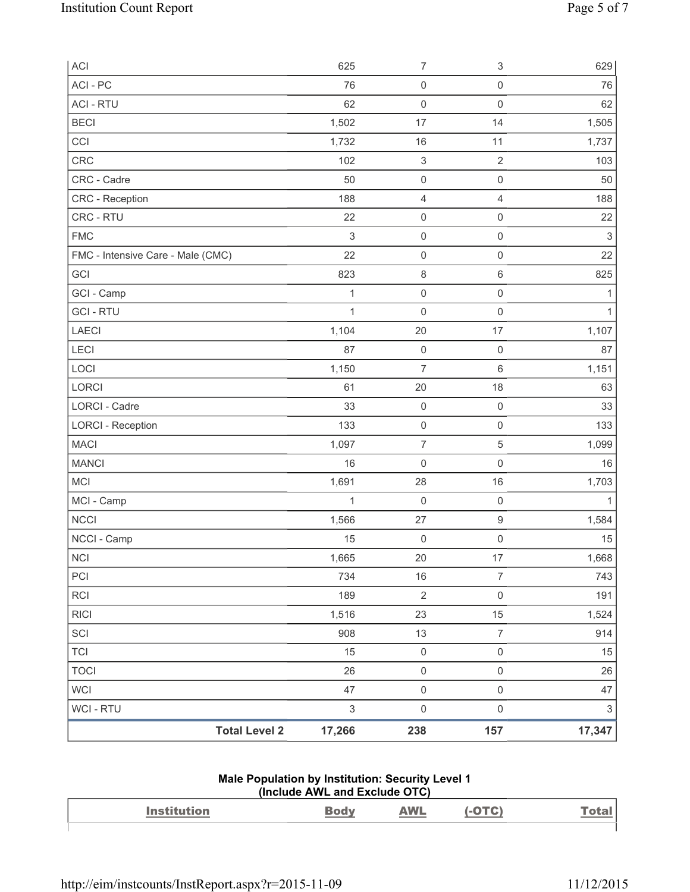| ACI                               | 625          | $\overline{7}$            | 3                   | 629                       |
|-----------------------------------|--------------|---------------------------|---------------------|---------------------------|
| ACI - PC                          | 76           | $\mathsf{O}\xspace$       | $\mathsf{O}\xspace$ | 76                        |
| <b>ACI - RTU</b>                  | 62           | $\mathsf{O}\xspace$       | $\mathsf{O}\xspace$ | 62                        |
| <b>BECI</b>                       | 1,502        | 17                        | 14                  | 1,505                     |
| CCI                               | 1,732        | 16                        | 11                  | 1,737                     |
| CRC                               | 102          | $\ensuremath{\mathsf{3}}$ | $\mathbf 2$         | 103                       |
| CRC - Cadre                       | 50           | $\mathsf{O}\xspace$       | $\mathsf{O}\xspace$ | 50                        |
| CRC - Reception                   | 188          | $\overline{4}$            | 4                   | 188                       |
| CRC - RTU                         | 22           | $\mathsf{O}\xspace$       | $\mathsf{O}\xspace$ | 22                        |
| <b>FMC</b>                        | $\,$ 3 $\,$  | $\mathsf{O}\xspace$       | $\mathsf{O}\xspace$ | $\,$ 3 $\,$               |
| FMC - Intensive Care - Male (CMC) | 22           | $\mathsf{O}\xspace$       | $\mathsf{O}\xspace$ | 22                        |
| GCI                               | 823          | $\,8\,$                   | $\,6\,$             | 825                       |
| GCI - Camp                        | $\mathbf{1}$ | $\mathsf{O}\xspace$       | $\mathsf{O}\xspace$ | 1                         |
| <b>GCI-RTU</b>                    | $\mathbf{1}$ | $\mathsf 0$               | $\mathsf 0$         | $\mathbf{1}$              |
| <b>LAECI</b>                      | 1,104        | 20                        | 17                  | 1,107                     |
| LECI                              | 87           | $\mathsf{O}\xspace$       | $\mathsf 0$         | 87                        |
| LOCI                              | 1,150        | $\overline{7}$            | $\,6\,$             | 1,151                     |
| LORCI                             | 61           | 20                        | 18                  | 63                        |
| LORCI - Cadre                     | 33           | $\mathsf{O}\xspace$       | $\mathsf 0$         | 33                        |
| <b>LORCI - Reception</b>          | 133          | $\mathsf{O}\xspace$       | $\mathsf{O}\xspace$ | 133                       |
| <b>MACI</b>                       | 1,097        | $\boldsymbol{7}$          | 5                   | 1,099                     |
| <b>MANCI</b>                      | 16           | $\mathsf{O}\xspace$       | $\mathsf{O}\xspace$ | 16                        |
| <b>MCI</b>                        | 1,691        | 28                        | 16                  | 1,703                     |
| MCI - Camp                        | $\mathbf{1}$ | $\mathsf{O}\xspace$       | $\mathsf 0$         | $\mathbf{1}$              |
| <b>NCCI</b>                       | 1,566        | 27                        | $\hbox{9}$          | 1,584                     |
| NCCI - Camp                       | 15           | $\mathbf 0$               | $\mathsf{O}\xspace$ | 15                        |
| <b>NCI</b>                        | 1,665        | 20                        | 17                  | 1,668                     |
| PCI                               | 734          | 16                        | $\overline{7}$      | 743                       |
| <b>RCI</b>                        | 189          | $\sqrt{2}$                | $\mathsf{O}\xspace$ | 191                       |
| <b>RICI</b>                       | 1,516        | 23                        | 15                  | 1,524                     |
| SCI                               | 908          | 13                        | $\overline{7}$      | 914                       |
| <b>TCI</b>                        | 15           | $\mathsf{O}\xspace$       | $\mathsf{O}\xspace$ | 15                        |
| <b>TOCI</b>                       | 26           | $\mathsf 0$               | $\mathsf{O}\xspace$ | 26                        |
| <b>WCI</b>                        | 47           | $\mathsf{O}\xspace$       | $\mathsf{O}\xspace$ | 47                        |
| <b>WCI - RTU</b>                  | $\,$ 3 $\,$  | $\mathsf{O}\xspace$       | $\mathsf 0$         | $\ensuremath{\mathsf{3}}$ |
| <b>Total Level 2</b>              | 17,266       | 238                       | 157                 | 17,347                    |

#### **Male Population by Institution: Security Level 1 (Include AWL and Exclude OTC)**

| $\mathbf{A}$ and $\mathbf{A}$<br>--------- | <b><i>MAI</i></b><br>and the contract of the contract of |  |
|--------------------------------------------|----------------------------------------------------------|--|
|                                            |                                                          |  |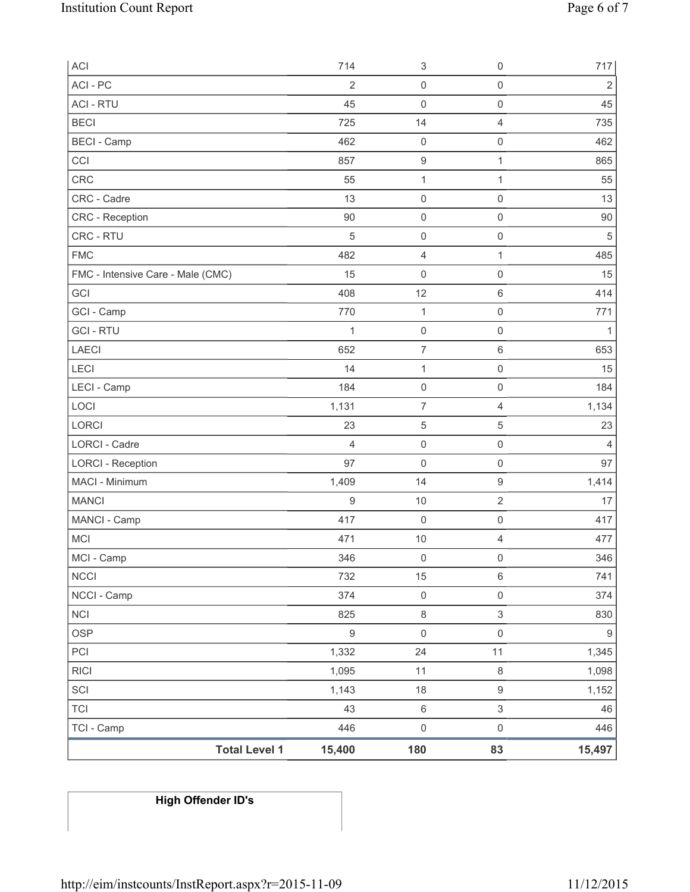| <b>ACI</b>                        | 714              | 3                   | $\mathsf{O}\xspace$ | 717              |
|-----------------------------------|------------------|---------------------|---------------------|------------------|
| ACI - PC                          | $\overline{2}$   | $\mathsf 0$         | $\mathsf{O}\xspace$ | $\overline{2}$   |
| <b>ACI - RTU</b>                  | 45               | 0                   | $\mathsf{O}\xspace$ | 45               |
| <b>BECI</b>                       | 725              | 14                  | $\overline{4}$      | 735              |
| <b>BECI</b> - Camp                | 462              | $\mathsf{O}\xspace$ | $\mathsf{O}\xspace$ | 462              |
| CCI                               | 857              | $\boldsymbol{9}$    | 1                   | 865              |
| CRC                               | 55               | $\mathbf{1}$        | 1                   | 55               |
| CRC - Cadre                       | 13               | $\mathsf{O}\xspace$ | $\mathsf{O}\xspace$ | 13               |
| <b>CRC</b> - Reception            | 90               | $\mathsf{O}\xspace$ | $\mathsf 0$         | $90\,$           |
| CRC - RTU                         | 5                | $\mathsf{O}\xspace$ | $\mathsf 0$         | $\sqrt{5}$       |
| <b>FMC</b>                        | 482              | 4                   | 1                   | 485              |
| FMC - Intensive Care - Male (CMC) | 15               | $\mathsf{O}\xspace$ | $\mathsf{O}\xspace$ | 15               |
| GCI                               | 408              | 12                  | $6\,$               | 414              |
| GCI - Camp                        | 770              | $\mathbf{1}$        | $\mathsf{O}\xspace$ | 771              |
| <b>GCI-RTU</b>                    | $\mathbf{1}$     | $\mathsf 0$         | $\mathsf 0$         | 1                |
| <b>LAECI</b>                      | 652              | $\overline{7}$      | $\,6\,$             | 653              |
| LECI                              | 14               | $\mathbf{1}$        | $\mathsf 0$         | 15               |
| LECI - Camp                       | 184              | 0                   | $\mathbf 0$         | 184              |
| LOCI                              | 1,131            | $\overline{7}$      | $\overline{4}$      | 1,134            |
| LORCI                             | 23               | 5                   | $\sqrt{5}$          | 23               |
| <b>LORCI - Cadre</b>              | 4                | $\mathsf{O}\xspace$ | $\mathsf 0$         | 4                |
| <b>LORCI - Reception</b>          | 97               | $\mathbf 0$         | $\mathsf{O}\xspace$ | 97               |
| MACI - Minimum                    | 1,409            | 14                  | $\boldsymbol{9}$    | 1,414            |
| <b>MANCI</b>                      | $\hbox{9}$       | 10                  | $\overline{2}$      | 17               |
| MANCI - Camp                      | 417              | $\mathbf 0$         | $\mathbf 0$         | 417              |
| <b>MCI</b>                        | 471              | $10$                | $\overline{4}$      | 477              |
| MCI - Camp                        | 346              | $\mathbf 0$         | $\mathsf{O}\xspace$ | 346              |
| <b>NCCI</b>                       | 732              | 15                  | $\,6\,$             | 741              |
| NCCI - Camp                       | 374              | $\mathsf{O}\xspace$ | $\mathsf{O}\xspace$ | 374              |
| <b>NCI</b>                        | 825              | $\,8\,$             | $\mathsf 3$         | 830              |
| <b>OSP</b>                        | $\boldsymbol{9}$ | $\mathsf{O}\xspace$ | $\mathsf 0$         | $\boldsymbol{9}$ |
| PCI                               | 1,332            | 24                  | 11                  | 1,345            |
| <b>RICI</b>                       | 1,095            | 11                  | $\,8\,$             | 1,098            |
| SCI                               | 1,143            | 18                  | $\mathsf g$         | 1,152            |
| <b>TCI</b>                        | 43               | $\,6\,$             | 3                   | 46               |
| TCI - Camp                        | 446              | $\mathsf{O}\xspace$ | $\mathsf 0$         | 446              |
| <b>Total Level 1</b>              | 15,400           | 180                 | 83                  | 15,497           |

# **High Offender ID's**